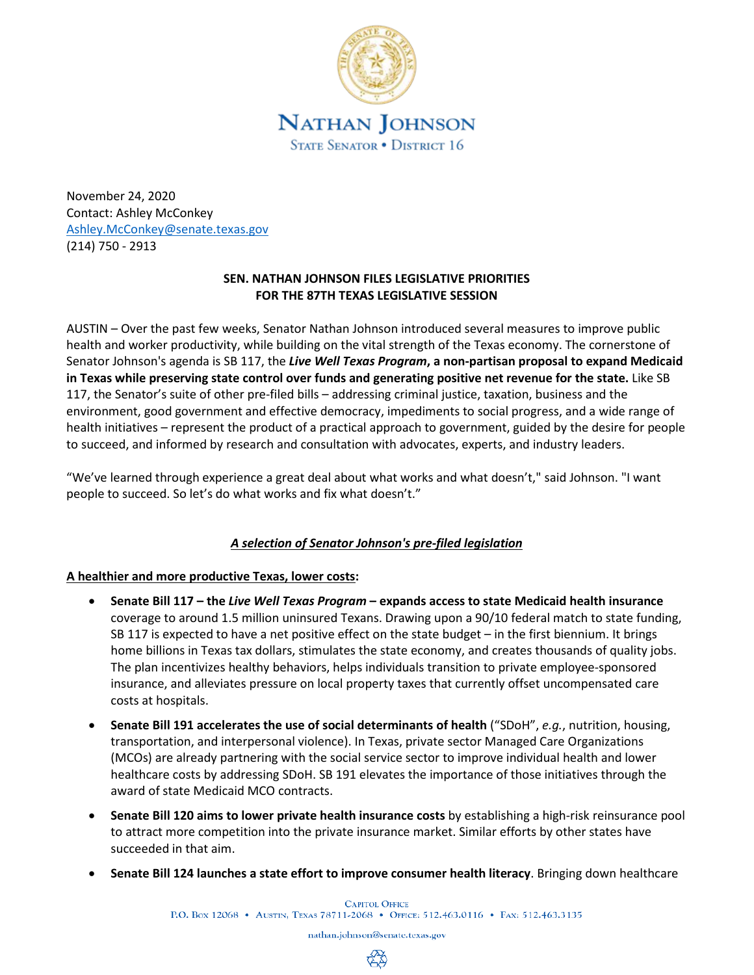

November 24, 2020 Contact: Ashley McConkey [Ashley.McConkey@senate.texas.gov](mailto:Ashley.McConkey@senate.texas.gov) (214) 750 - 2913

## **SEN. NATHAN JOHNSON FILES LEGISLATIVE PRIORITIES FOR THE 87TH TEXAS LEGISLATIVE SESSION**

AUSTIN – Over the past few weeks, Senator Nathan Johnson introduced several measures to improve public health and worker productivity, while building on the vital strength of the Texas economy. The cornerstone of Senator Johnson's agenda is SB 117, the *Live Well Texas Program***, a non-partisan proposal to expand Medicaid in Texas while preserving state control over funds and generating positive net revenue for the state.** Like SB 117, the Senator's suite of other pre-filed bills – addressing criminal justice, taxation, business and the environment, good government and effective democracy, impediments to social progress, and a wide range of health initiatives – represent the product of a practical approach to government, guided by the desire for people to succeed, and informed by research and consultation with advocates, experts, and industry leaders.

"We've learned through experience a great deal about what works and what doesn't," said Johnson. "I want people to succeed. So let's do what works and fix what doesn't."

# *A selection of Senator Johnson's pre-filed legislation*

## **A healthier and more productive Texas, lower costs:**

- **Senate Bill 117 – the** *Live Well Texas Program* **– expands access to state Medicaid health insurance**  coverage to around 1.5 million uninsured Texans. Drawing upon a 90/10 federal match to state funding, SB 117 is expected to have a net positive effect on the state budget – in the first biennium. It brings home billions in Texas tax dollars, stimulates the state economy, and creates thousands of quality jobs. The plan incentivizes healthy behaviors, helps individuals transition to private employee-sponsored insurance, and alleviates pressure on local property taxes that currently offset uncompensated care costs at hospitals.
- **Senate Bill 191 accelerates the use of social determinants of health** ("SDoH", *e.g.*, nutrition, housing, transportation, and interpersonal violence). In Texas, private sector Managed Care Organizations (MCOs) are already partnering with the social service sector to improve individual health and lower healthcare costs by addressing SDoH. SB 191 elevates the importance of those initiatives through the award of state Medicaid MCO contracts.
- **Senate Bill 120 aims to lower private health insurance costs** by establishing a high-risk reinsurance pool to attract more competition into the private insurance market. Similar efforts by other states have succeeded in that aim.
- **Senate Bill 124 launches a state effort to improve consumer health literacy**. Bringing down healthcare